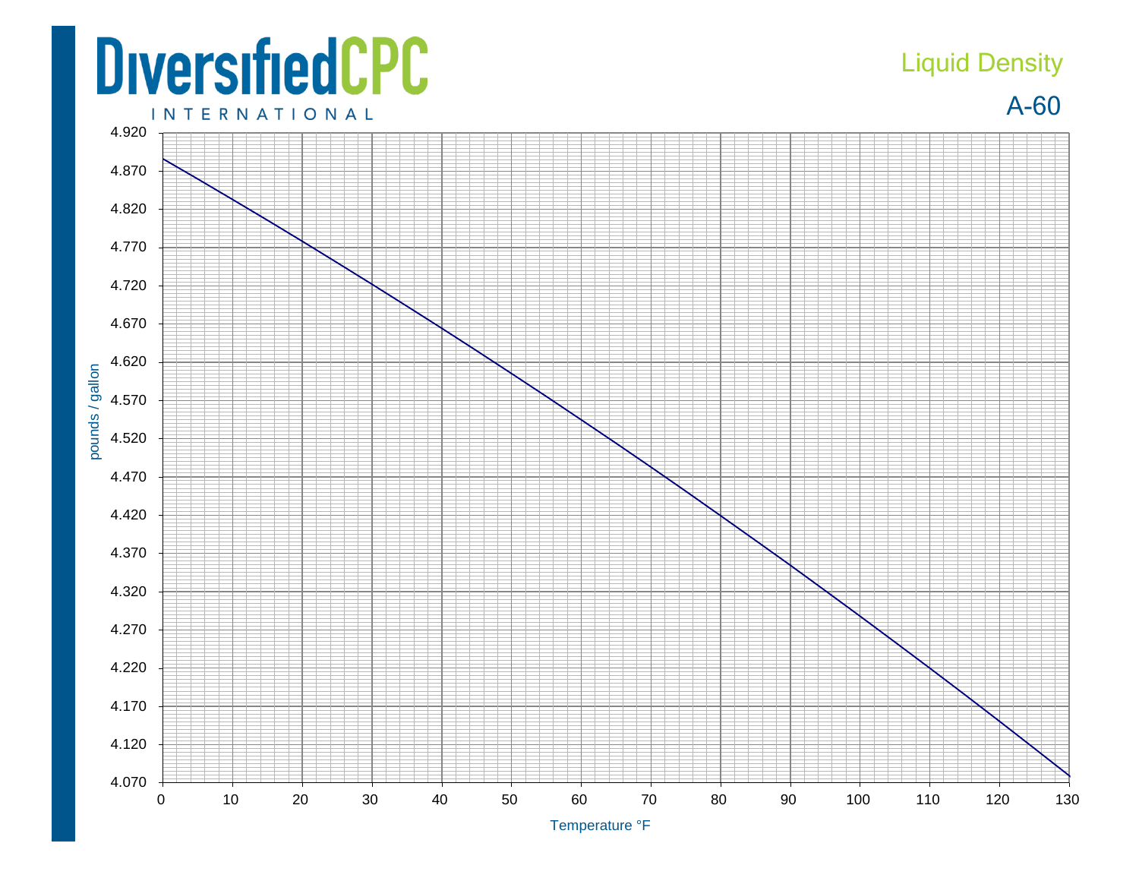## **DiversifiedCPC**

## Liquid Density

A-60



Temperature °F